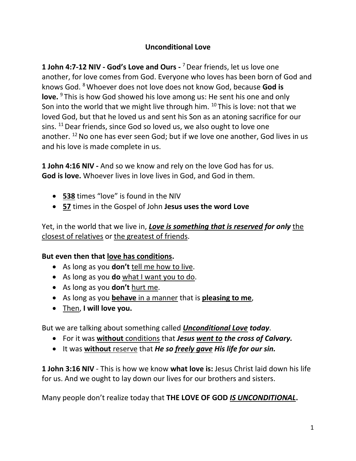## **Unconditional Love**

**1 John 4:7-12 NIV - God's Love and Ours -** <sup>7</sup>Dear friends, let us love one another, for love comes from God. Everyone who loves has been born of God and knows God. <sup>8</sup>Whoever does not love does not know God, because **God is**  love.<sup>9</sup> This is how God showed his love among us: He sent his one and only Son into the world that we might live through him.  $^{10}$  This is love: not that we loved God, but that he loved us and sent his Son as an atoning sacrifice for our sins.  $11$  Dear friends, since God so loved us, we also ought to love one another. <sup>12</sup> No one has ever seen God; but if we love one another, God lives in us and his love is made complete in us.

**1 John 4:16 NIV -** And so we know and rely on the love God has for us. **God is love.** Whoever lives in love lives in God, and God in them.

- **538** times "love" is found in the NIV
- **57** times in the Gospel of John **Jesus uses the word Love**

Yet, in the world that we live in, *Love is something that is reserved for only* the closest of relatives or the greatest of friends.

### **But even then that love has conditions.**

- As long as you **don't** tell me how to live.
- As long as you **do** what I want you to do.
- As long as you **don't** hurt me.
- As long as you **behave** in a manner that is **pleasing to me**,
- Then, **I will love you.**

But we are talking about something called *Unconditional Love today*.

- For it was **without** conditions that *Jesus went to the cross of Calvary.*
- It was **without** reserve that *He so freely gave His life for our sin.*

**1 John 3:16 NIV** - This is how we know **what love is:** Jesus Christ laid down his life for us. And we ought to lay down our lives for our brothers and sisters.

Many people don't realize today that **THE LOVE OF GOD** *IS UNCONDITIONAL***.**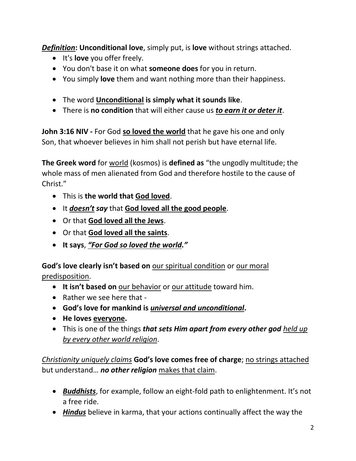*Definition***: Unconditional love**, simply put, is **love** without strings attached.

- It's **love** you offer freely.
- You don't base it on what **someone does** for you in return.
- You simply **love** them and want nothing more than their happiness.
- The word **Unconditional is simply what it sounds like**.
- There is **no condition** that will either cause us *to earn it or deter it*.

**John 3:16 NIV -** For God **so loved the world** that he gave his one and only Son, that whoever believes in him shall not perish but have eternal life.

**The Greek word** for world (kosmos) is **defined as** "the ungodly multitude; the whole mass of men alienated from God and therefore hostile to the cause of Christ."

- This is **the world that God loved**.
- It *doesn't say* that **God loved all the good people**.
- Or that **God loved all the Jews**.
- Or that **God loved all the saints**.
- **It says**, *"For God so loved the world."*

**God's love clearly isn't based on** our spiritual condition or our moral predisposition.

- **It isn't based on** our behavior or our attitude toward him.
- Rather we see here that -
- **God's love for mankind is** *universal and unconditional***.**
- **He loves everyone.**
- This is one of the things *that sets Him apart from every other god held up by every other world religion*.

*Christianity uniquely claims* **God's love comes free of charge**; no strings attached but understand… *no other religion* makes that claim.

- *Buddhists*, for example, follow an eight-fold path to enlightenment. It's not a free ride.
- *Hindus* believe in karma, that your actions continually affect the way the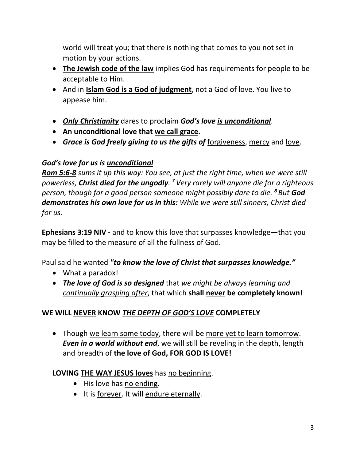world will treat you; that there is nothing that comes to you not set in motion by your actions.

- **The Jewish code of the law** implies God has requirements for people to be acceptable to Him.
- And in **Islam God is a God of judgment**, not a God of love. You live to appease him.
- *Only Christianity* dares to proclaim *God's love is unconditional*.
- **An unconditional love that we call grace.**
- *Grace is God freely giving to us the gifts of* forgiveness, mercy and love.

# *God's love for us is unconditional*

*Rom 5:6-8 sums it up this way: You see, at just the right time, when we were still powerless, Christ died for the ungodly. <sup>7</sup> Very rarely will anyone die for a righteous person, though for a good person someone might possibly dare to die. <sup>8</sup> But God demonstrates his own love for us in this: While we were still sinners, Christ died for us.*

**Ephesians 3:19 NIV -** and to know this love that surpasses knowledge—that you may be filled to the measure of all the fullness of God.

Paul said he wanted *"to know the love of Christ that surpasses knowledge."*

- What a paradox!
- *The love of God is so designed* that *we might be always learning and continually grasping after*, that which **shall never be completely known!**

# **WE WILL NEVER KNOW** *THE DEPTH OF GOD'S LOVE* **COMPLETELY**

• Though we learn some today, there will be more yet to learn tomorrow. *Even in a world without end*, we will still be reveling in the depth, length and breadth of **the love of God, FOR GOD IS LOVE!**

## **LOVING THE WAY JESUS loves** has no beginning.

- His love has no ending.
- It is forever. It will endure eternally.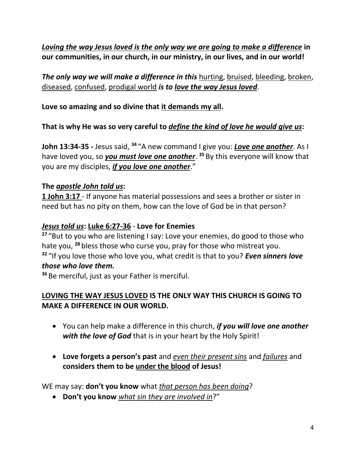*Loving the way Jesus loved is the only way we are going to make a difference* **in our communities, in our church, in our ministry, in our lives, and in our world!**

*The only way we will make a difference in this* hurting, bruised, bleeding, broken, diseased, confused, prodigal world *is to love the way Jesus loved*.

**Love so amazing and so divine that it demands my all.** 

**That is why He was so very careful to** *define the kind of love he would give us***:** 

**John 13:34-35 -** Jesus said, **<sup>34</sup>** "A new command I give you: *Love one another*. As I have loved you, so *you must love one another*. **<sup>35</sup>** By this everyone will know that you are my disciples, *if you love one another*."

## **The** *apostle John told us***:**

**1 John 3:17** - If anyone has material possessions and sees a brother or sister in need but has no pity on them, how can the love of God be in that person?

## *Jesus told us***: Luke 6:27-36** - **Love for Enemies**

**<sup>27</sup>** "But to you who are listening I say: Love your enemies, do good to those who hate you, **<sup>28</sup>** bless those who curse you, pray for those who mistreat you. **<sup>32</sup>** "If you love those who love you, what credit is that to you? *Even sinners love those who love them.* 

**<sup>36</sup>** Be merciful, just as your Father is merciful.

## **LOVING THE WAY JESUS LOVED IS THE ONLY WAY THIS CHURCH IS GOING TO MAKE A DIFFERENCE IN OUR WORLD.**

- You can help make a difference in this church, *if you will love one another with the love of God* that is in your heart by the Holy Spirit!
- **Love forgets a person's past** and *even their present sins* and *failures* and **considers them to be under the blood of Jesus!**

WE may say: **don't you know** what *that person has been doing*?

• **Don't you know** *what sin they are involved in*?"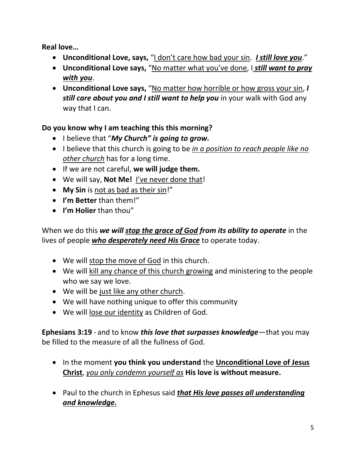**Real love…**

- **Unconditional Love, says,** "I don't care how bad your sin. *I still love you*."
- **Unconditional Love says,** "No matter what you've done, I *still want to pray with you*.
- **Unconditional Love says,** "No matter how horrible or how gross your sin, *I still care about you and I still want to help you* in your walk with God any way that I can.

## **Do you know why I am teaching this this morning?**

- I believe that "*My Church" is going to grow.*
- I believe that this church is going to be *in a position to reach people like no other church* has for a long time.
- If we are not careful, **we will judge them.**
- We will say, **Not Me!** I've never done that!
- **My Sin** is not as bad as their sin!"
- **I'm Better** than them!"
- **I'm Holier** than thou"

When we do this *we will stop the grace of God from its ability to operate* in the lives of people *who desperately need His Grace* to operate today.

- We will stop the move of God in this church.
- We will kill any chance of this church growing and ministering to the people who we say we love.
- We will be just like any other church.
- We will have nothing unique to offer this community
- We will lose our identity as Children of God.

**Ephesians 3:19** - and to know *this love that surpasses knowledge*—that you may be filled to the measure of all the fullness of God.

- In the moment **you think you understand** the **Unconditional Love of Jesus Christ**, *you only condemn yourself as* **His love is without measure.**
- Paul to the church in Ephesus said *that His love passes all understanding and knowledge.*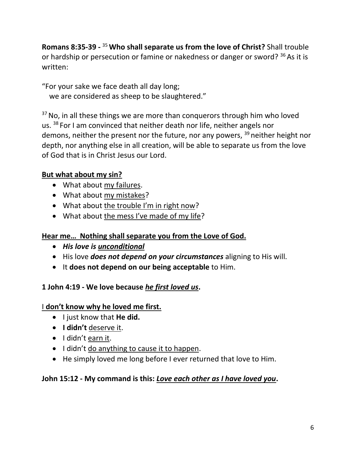**Romans 8:35-39 -** <sup>35</sup> **Who shall separate us from the love of Christ?** Shall trouble or hardship or persecution or famine or nakedness or danger or sword? <sup>36</sup> As it is written:

"For your sake we face death all day long; we are considered as sheep to be slaughtered."

<sup>37</sup> No, in all these things we are more than conquerors through him who loved us. <sup>38</sup> For I am convinced that neither death nor life, neither angels nor demons, neither the present nor the future, nor any powers,  $39$  neither height nor depth, nor anything else in all creation, will be able to separate us from the love of God that is in Christ Jesus our Lord.

## **But what about my sin?**

- What about my failures.
- What about my mistakes?
- What about the trouble I'm in right now?
- What about the mess I've made of my life?

### **Hear me… Nothing shall separate you from the Love of God.**

- *His love is unconditional*
- His love *does not depend on your circumstances* aligning to His will.
- It **does not depend on our being acceptable** to Him.

### **1 John 4:19 - We love because** *he first loved us***.**

### I **don't know why he loved me first.**

- I just know that **He did.**
- **I didn't** deserve it.
- I didn't earn it.
- I didn't do anything to cause it to happen.
- He simply loved me long before I ever returned that love to Him.

### **John 15:12 - My command is this:** *Love each other as I have loved you***.**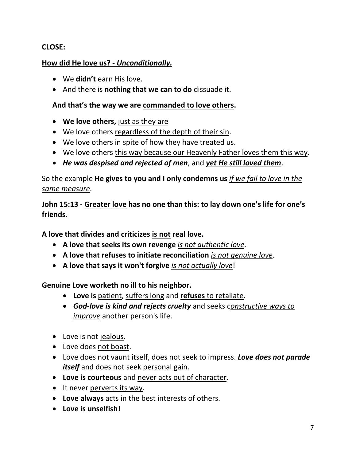## **CLOSE:**

#### **How did He love us? -** *Unconditionally.*

- We **didn't** earn His love.
- And there is **nothing that we can to do** dissuade it.

#### **And that's the way we are commanded to love others.**

- **We love others,** just as they are
- We love others regardless of the depth of their sin.
- We love others in spite of how they have treated us.
- We love others this way because our Heavenly Father loves them this way.
- *He was despised and rejected of men*, and *yet He still loved them*.

So the example **He gives to you and I only condemns us** *if we fail to love in the same measure*.

**John 15:13 - Greater love has no one than this: to lay down one's life for one's friends.**

**A love that divides and criticizes is not real love.** 

- **A love that seeks its own revenge** *is not authentic love*.
- **A love that refuses to initiate reconciliation** *is not genuine love*.
- **A love that says it won't forgive** *is not actually love*!

**Genuine Love worketh no ill to his neighbor.** 

- **Love is** patient, suffers long and **refuses** to retaliate.
- *God-love is kind and rejects cruelty* and seeks c*onstructive ways to improve* another person's life.
- Love is not jealous.
- Love does not boast.
- Love does not vaunt itself, does not seek to impress. *Love does not parade itself* and does not seek personal gain.
- **Love is courteous** and never acts out of character.
- It never perverts its way.
- **Love always** acts in the best interests of others.
- **Love is unselfish!**